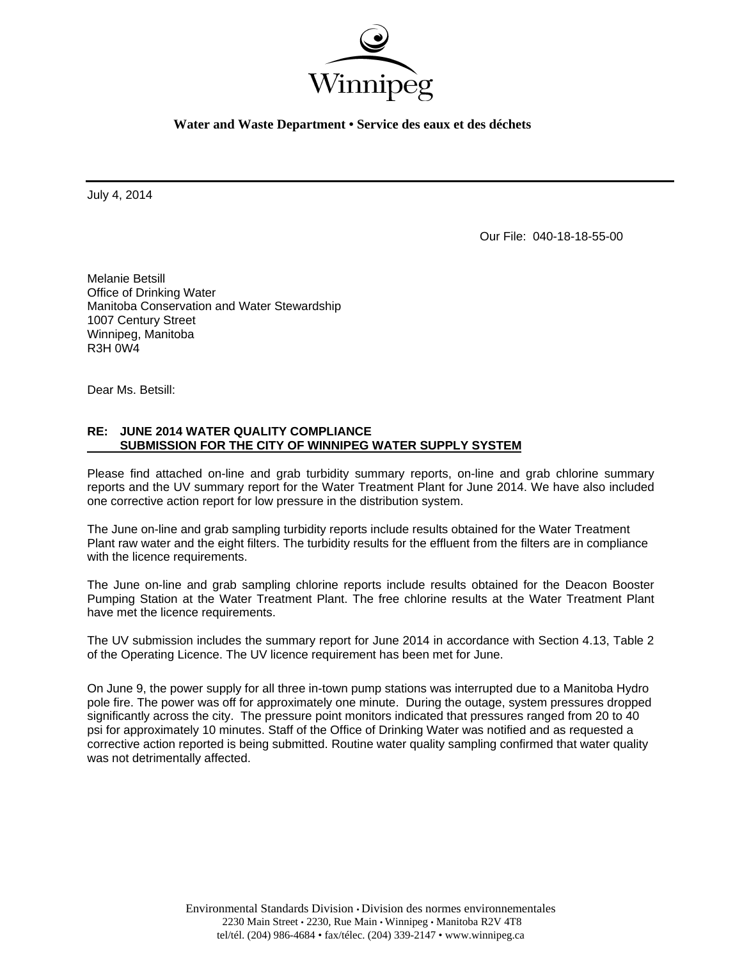

**Water and Waste Department • Service des eaux et des déchets** 

July 4, 2014

Our File: 040-18-18-55-00

Melanie Betsill Office of Drinking Water Manitoba Conservation and Water Stewardship 1007 Century Street Winnipeg, Manitoba R3H 0W4

Dear Ms. Betsill:

## **RE: JUNE 2014 WATER QUALITY COMPLIANCE SUBMISSION FOR THE CITY OF WINNIPEG WATER SUPPLY SYSTEM**

Please find attached on-line and grab turbidity summary reports, on-line and grab chlorine summary reports and the UV summary report for the Water Treatment Plant for June 2014. We have also included one corrective action report for low pressure in the distribution system.

The June on-line and grab sampling turbidity reports include results obtained for the Water Treatment Plant raw water and the eight filters. The turbidity results for the effluent from the filters are in compliance with the licence requirements.

The June on-line and grab sampling chlorine reports include results obtained for the Deacon Booster Pumping Station at the Water Treatment Plant. The free chlorine results at the Water Treatment Plant have met the licence requirements.

The UV submission includes the summary report for June 2014 in accordance with Section 4.13, Table 2 of the Operating Licence. The UV licence requirement has been met for June.

On June 9, the power supply for all three in-town pump stations was interrupted due to a Manitoba Hydro pole fire. The power was off for approximately one minute. During the outage, system pressures dropped significantly across the city. The pressure point monitors indicated that pressures ranged from 20 to 40 psi for approximately 10 minutes. Staff of the Office of Drinking Water was notified and as requested a corrective action reported is being submitted. Routine water quality sampling confirmed that water quality was not detrimentally affected.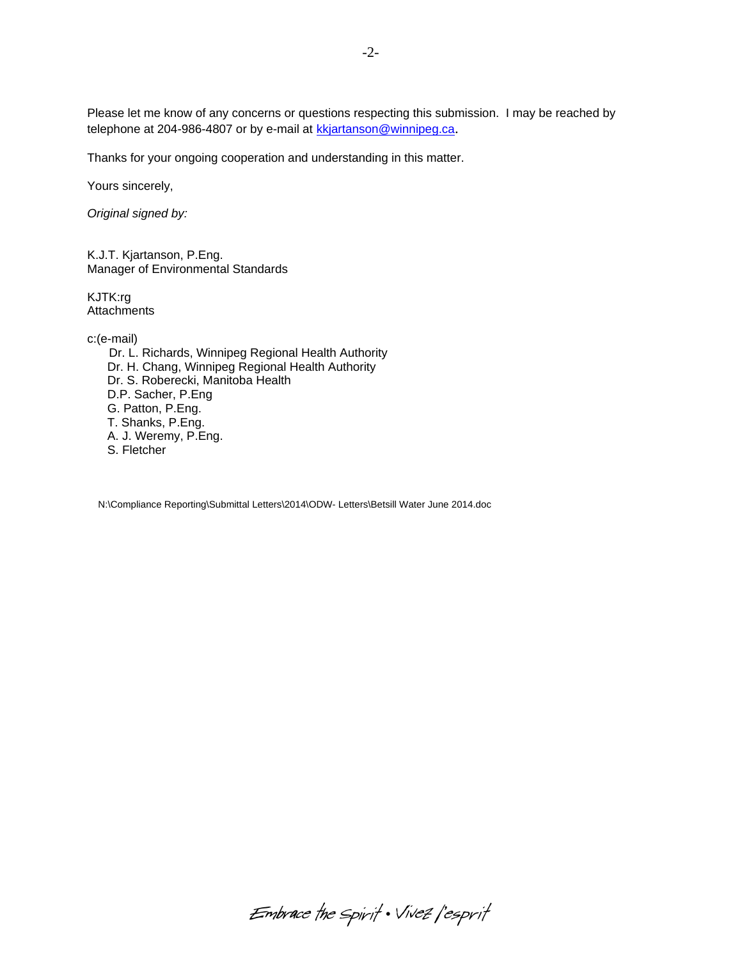Please let me know of any concerns or questions respecting this submission. I may be reached by telephone at 204-986-4807 or by e-mail at kkjartanson@winnipeg.ca.

Thanks for your ongoing cooperation and understanding in this matter.

Yours sincerely,

*Original signed by:* 

K.J.T. Kjartanson, P.Eng. Manager of Environmental Standards

KJTK:rg **Attachments** 

c:(e-mail)

 Dr. L. Richards, Winnipeg Regional Health Authority Dr. H. Chang, Winnipeg Regional Health Authority Dr. S. Roberecki, Manitoba Health D.P. Sacher, P.Eng G. Patton, P.Eng. T. Shanks, P.Eng. A. J. Weremy, P.Eng. S. Fletcher

N:\Compliance Reporting\Submittal Letters\2014\ODW- Letters\Betsill Water June 2014.doc

Embrace the spirit . Vivez l'esprit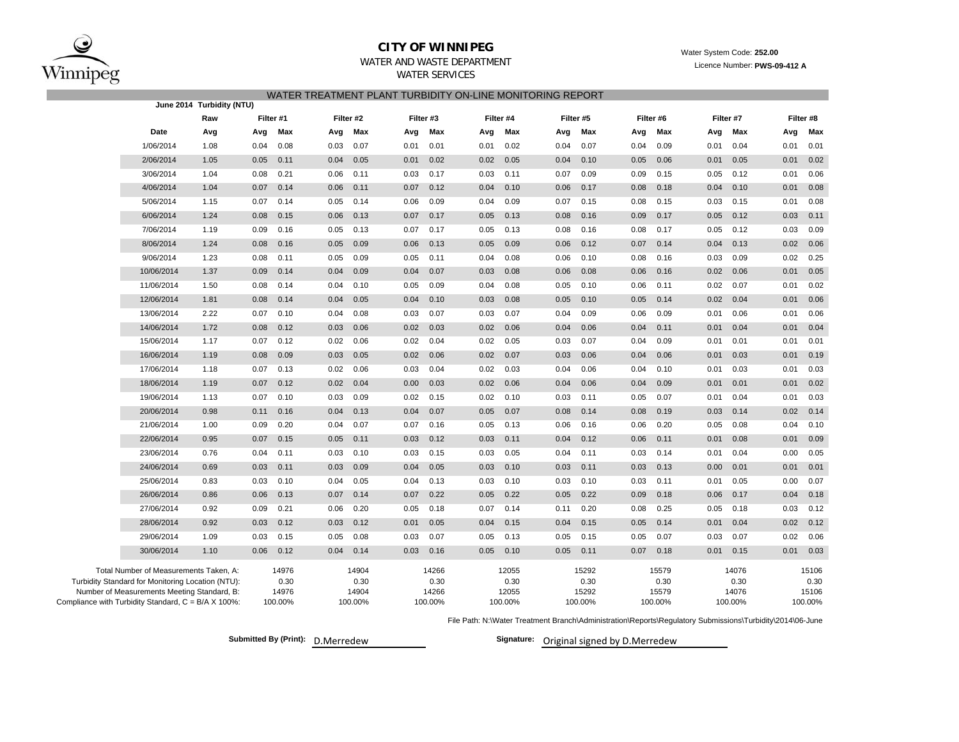

### WATER AND WASTE DEPARTMENT**CITY OF WINNIPEG**

# WATER SERVICES

| WATER TREATMENT PLANT TURBIDITY ON-LINE MONITORING REPORT |                                                                                             |      |           |               |      |               |           |               |      |               |      |               |      |               |      |               |      |               |
|-----------------------------------------------------------|---------------------------------------------------------------------------------------------|------|-----------|---------------|------|---------------|-----------|---------------|------|---------------|------|---------------|------|---------------|------|---------------|------|---------------|
|                                                           | June 2014 Turbidity (NTU)                                                                   |      |           |               |      |               |           |               |      |               |      |               |      |               |      |               |      |               |
|                                                           | Raw                                                                                         |      | Filter #1 |               |      | Filter #2     | Filter #3 |               |      | Filter #4     |      | Filter #5     |      | Filter #6     |      | Filter #7     |      | Filter #8     |
|                                                           | Date                                                                                        | Avg  | Avg       | Max           | Avg  | Max           | Avg       | Max           | Avg  | Max           | Avg  | Max           | Avg  | Max           | Avg  | Max           | Avg  | Max           |
|                                                           | 1/06/2014                                                                                   | 1.08 | 0.04      | 0.08          | 0.03 | 0.07          | 0.01      | 0.01          | 0.01 | 0.02          | 0.04 | 0.07          | 0.04 | 0.09          | 0.01 | 0.04          | 0.01 | 0.01          |
|                                                           | 2/06/2014                                                                                   | 1.05 | 0.05      | 0.11          | 0.04 | 0.05          | 0.01      | 0.02          | 0.02 | 0.05          | 0.04 | 0.10          | 0.05 | 0.06          | 0.01 | 0.05          | 0.01 | 0.02          |
|                                                           | 3/06/2014                                                                                   | 1.04 | 0.08      | 0.21          | 0.06 | 0.11          | 0.03      | 0.17          | 0.03 | 0.11          | 0.07 | 0.09          | 0.09 | 0.15          | 0.05 | 0.12          | 0.01 | 0.06          |
|                                                           | 4/06/2014                                                                                   | 1.04 | 0.07      | 0.14          | 0.06 | 0.11          | 0.07      | 0.12          | 0.04 | 0.10          | 0.06 | 0.17          | 0.08 | 0.18          | 0.04 | 0.10          | 0.01 | 0.08          |
|                                                           | 5/06/2014                                                                                   | 1.15 | 0.07      | 0.14          | 0.05 | 0.14          | 0.06      | 0.09          | 0.04 | 0.09          | 0.07 | 0.15          | 0.08 | 0.15          | 0.03 | 0.15          | 0.01 | 0.08          |
|                                                           | 6/06/2014                                                                                   | 1.24 | 0.08      | 0.15          | 0.06 | 0.13          | 0.07      | 0.17          | 0.05 | 0.13          | 0.08 | 0.16          | 0.09 | 0.17          | 0.05 | 0.12          | 0.03 | 0.11          |
|                                                           | 7/06/2014                                                                                   | 1.19 | 0.09      | 0.16          | 0.05 | 0.13          | 0.07      | 0.17          | 0.05 | 0.13          | 0.08 | 0.16          | 0.08 | 0.17          | 0.05 | 0.12          | 0.03 | 0.09          |
|                                                           | 8/06/2014                                                                                   | 1.24 | 0.08      | 0.16          | 0.05 | 0.09          | 0.06      | 0.13          | 0.05 | 0.09          | 0.06 | 0.12          | 0.07 | 0.14          | 0.04 | 0.13          | 0.02 | 0.06          |
|                                                           | 9/06/2014                                                                                   | 1.23 | 0.08      | 0.11          | 0.05 | 0.09          | 0.05      | 0.11          | 0.04 | 0.08          | 0.06 | 0.10          | 0.08 | 0.16          | 0.03 | 0.09          | 0.02 | 0.25          |
|                                                           | 10/06/2014                                                                                  | 1.37 | 0.09      | 0.14          | 0.04 | 0.09          | 0.04      | 0.07          | 0.03 | 0.08          | 0.06 | 0.08          | 0.06 | 0.16          | 0.02 | 0.06          | 0.01 | 0.05          |
|                                                           | 11/06/2014                                                                                  | 1.50 | 0.08      | 0.14          | 0.04 | 0.10          | 0.05      | 0.09          | 0.04 | 0.08          | 0.05 | 0.10          | 0.06 | 0.11          | 0.02 | 0.07          | 0.01 | 0.02          |
|                                                           | 12/06/2014                                                                                  | 1.81 | 0.08      | 0.14          | 0.04 | 0.05          | 0.04      | 0.10          | 0.03 | 0.08          | 0.05 | 0.10          | 0.05 | 0.14          | 0.02 | 0.04          | 0.01 | 0.06          |
|                                                           | 13/06/2014                                                                                  | 2.22 | 0.07      | 0.10          | 0.04 | 0.08          | 0.03      | 0.07          | 0.03 | 0.07          | 0.04 | 0.09          | 0.06 | 0.09          | 0.01 | 0.06          | 0.01 | 0.06          |
|                                                           | 14/06/2014                                                                                  | 1.72 | 0.08      | 0.12          | 0.03 | 0.06          | 0.02      | 0.03          | 0.02 | 0.06          | 0.04 | 0.06          | 0.04 | 0.11          | 0.01 | 0.04          | 0.01 | 0.04          |
|                                                           | 15/06/2014                                                                                  | 1.17 | 0.07      | 0.12          | 0.02 | 0.06          | 0.02      | 0.04          | 0.02 | 0.05          | 0.03 | 0.07          | 0.04 | 0.09          | 0.01 | 0.01          | 0.01 | 0.01          |
|                                                           | 16/06/2014                                                                                  | 1.19 | 0.08      | 0.09          | 0.03 | 0.05          | 0.02      | 0.06          | 0.02 | 0.07          | 0.03 | 0.06          | 0.04 | 0.06          | 0.01 | 0.03          | 0.01 | 0.19          |
|                                                           | 17/06/2014                                                                                  | 1.18 | 0.07      | 0.13          | 0.02 | 0.06          | 0.03      | 0.04          | 0.02 | 0.03          | 0.04 | 0.06          | 0.04 | 0.10          | 0.01 | 0.03          | 0.01 | 0.03          |
|                                                           | 18/06/2014                                                                                  | 1.19 | 0.07      | 0.12          | 0.02 | 0.04          | 0.00      | 0.03          | 0.02 | 0.06          | 0.04 | 0.06          | 0.04 | 0.09          | 0.01 | 0.01          | 0.01 | 0.02          |
|                                                           | 19/06/2014                                                                                  | 1.13 | 0.07      | 0.10          | 0.03 | 0.09          | 0.02      | 0.15          | 0.02 | 0.10          | 0.03 | 0.11          | 0.05 | 0.07          | 0.01 | 0.04          | 0.01 | 0.03          |
|                                                           | 20/06/2014                                                                                  | 0.98 | 0.11      | 0.16          | 0.04 | 0.13          | 0.04      | 0.07          | 0.05 | 0.07          | 0.08 | 0.14          | 0.08 | 0.19          | 0.03 | 0.14          | 0.02 | 0.14          |
|                                                           | 21/06/2014                                                                                  | 1.00 | 0.09      | 0.20          | 0.04 | 0.07          | 0.07      | 0.16          | 0.05 | 0.13          | 0.06 | 0.16          | 0.06 | 0.20          | 0.05 | 0.08          | 0.04 | 0.10          |
|                                                           | 22/06/2014                                                                                  | 0.95 | 0.07      | 0.15          | 0.05 | 0.11          | 0.03      | 0.12          | 0.03 | 0.11          | 0.04 | 0.12          | 0.06 | 0.11          | 0.01 | 0.08          | 0.01 | 0.09          |
|                                                           | 23/06/2014                                                                                  | 0.76 | 0.04      | 0.11          | 0.03 | 0.10          | 0.03      | 0.15          | 0.03 | 0.05          | 0.04 | 0.11          | 0.03 | 0.14          | 0.01 | 0.04          | 0.00 | 0.05          |
|                                                           | 24/06/2014                                                                                  | 0.69 | 0.03      | 0.11          | 0.03 | 0.09          | 0.04      | 0.05          | 0.03 | 0.10          | 0.03 | 0.11          | 0.03 | 0.13          | 0.00 | 0.01          | 0.01 | 0.01          |
|                                                           | 25/06/2014                                                                                  | 0.83 | 0.03      | 0.10          | 0.04 | 0.05          | 0.04      | 0.13          | 0.03 | 0.10          | 0.03 | 0.10          | 0.03 | 0.11          | 0.01 | 0.05          | 0.00 | 0.07          |
|                                                           | 26/06/2014                                                                                  | 0.86 | 0.06      | 0.13          | 0.07 | 0.14          | 0.07      | 0.22          | 0.05 | 0.22          | 0.05 | 0.22          | 0.09 | 0.18          | 0.06 | 0.17          | 0.04 | 0.18          |
|                                                           | 27/06/2014                                                                                  | 0.92 | 0.09      | 0.21          | 0.06 | 0.20          | 0.05      | 0.18          | 0.07 | 0.14          | 0.11 | 0.20          | 0.08 | 0.25          | 0.05 | 0.18          | 0.03 | 0.12          |
|                                                           | 28/06/2014                                                                                  | 0.92 | 0.03      | 0.12          | 0.03 | 0.12          | 0.01      | 0.05          | 0.04 | 0.15          | 0.04 | 0.15          | 0.05 | 0.14          | 0.01 | 0.04          | 0.02 | 0.12          |
|                                                           | 29/06/2014                                                                                  | 1.09 | 0.03      | 0.15          | 0.05 | 0.08          | 0.03      | 0.07          | 0.05 | 0.13          | 0.05 | 0.15          | 0.05 | 0.07          | 0.03 | 0.07          | 0.02 | 0.06          |
|                                                           | 30/06/2014                                                                                  | 1.10 | 0.06      | 0.12          | 0.04 | 0.14          | 0.03      | 0.16          | 0.05 | 0.10          | 0.05 | 0.11          | 0.07 | 0.18          | 0.01 | 0.15          | 0.01 | 0.03          |
|                                                           |                                                                                             |      |           |               |      |               |           |               |      |               |      |               |      |               |      |               |      |               |
|                                                           | Total Number of Measurements Taken, A:<br>Turbidity Standard for Monitoring Location (NTU): |      |           | 14976<br>0.30 |      | 14904<br>0.30 |           | 14266<br>0.30 |      | 12055<br>0.30 |      | 15292<br>0.30 |      | 15579<br>0.30 |      | 14076<br>0.30 |      | 15106<br>0.30 |
|                                                           | Number of Measurements Meeting Standard, B:                                                 |      |           | 14976         |      | 14904         |           | 14266         |      | 12055         |      | 15292         |      | 15579         |      | 14076         |      | 15106         |
|                                                           | Compliance with Turbidity Standard, C = B/A X 100%:                                         |      |           | 100.00%       |      | 100.00%       |           | 100.00%       |      | 100.00%       |      | 100.00%       |      | 100.00%       |      | 100.00%       |      | 100.00%       |

File Path: N:\Water Treatment Branch\Administration\Reports\Regulatory Submissions\Turbidity\2014\06-June

**Submitted By (Print): Signature:** D.Merredew

Signature: Original signed by D.Merredew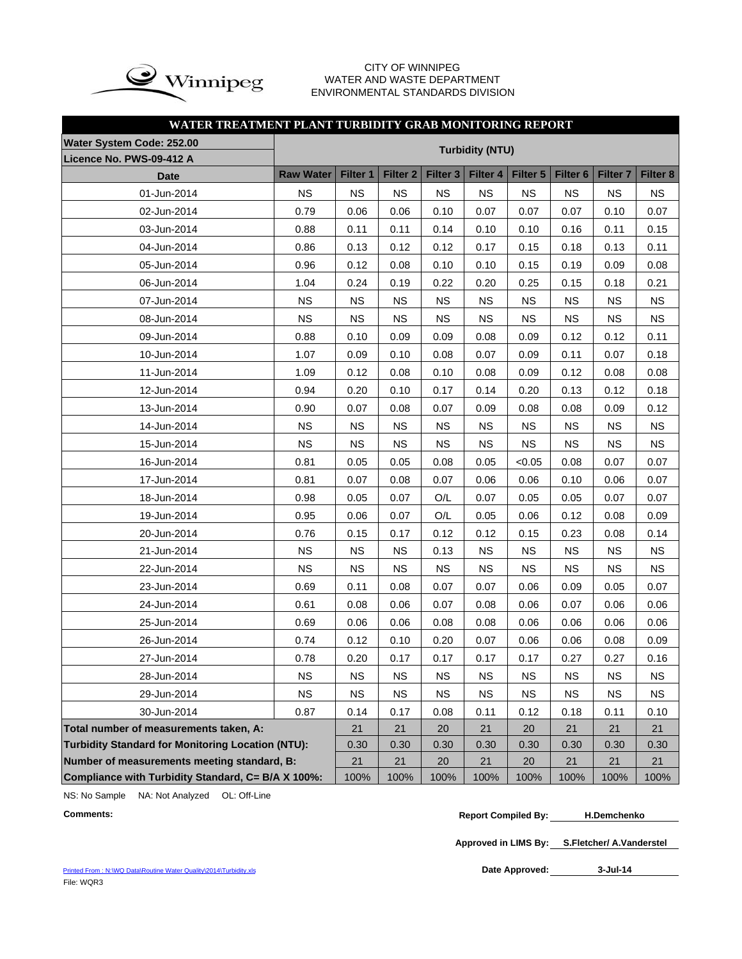

#### CITY OF WINNIPEG WATER AND WASTE DEPARTMENT ENVIRONMENTAL STANDARDS DIVISION

## **WATER TREATMENT PLANT TURBIDITY GRAB MONITORING REPORT**

| Water System Code: 252.00                                |                  |                 |                 |                     |                        |           |                     |                     |           |
|----------------------------------------------------------|------------------|-----------------|-----------------|---------------------|------------------------|-----------|---------------------|---------------------|-----------|
| Licence No. PWS-09-412 A                                 |                  |                 |                 |                     | <b>Turbidity (NTU)</b> |           |                     |                     |           |
| <b>Date</b>                                              | <b>Raw Water</b> | <b>Filter 1</b> | <b>Filter 2</b> | Filter <sub>3</sub> | Filter 4               | Filter 5  | Filter <sub>6</sub> | Filter <sub>7</sub> | Filter 8  |
| 01-Jun-2014                                              | <b>NS</b>        | <b>NS</b>       | <b>NS</b>       | <b>NS</b>           | <b>NS</b>              | <b>NS</b> | <b>NS</b>           | <b>NS</b>           | <b>NS</b> |
| 02-Jun-2014                                              | 0.79             | 0.06            | 0.06            | 0.10                | 0.07                   | 0.07      | 0.07                | 0.10                | 0.07      |
| 03-Jun-2014                                              | 0.88             | 0.11            | 0.11            | 0.14                | 0.10                   | 0.10      | 0.16                | 0.11                | 0.15      |
| 04-Jun-2014                                              | 0.86             | 0.13            | 0.12            | 0.12                | 0.17                   | 0.15      | 0.18                | 0.13                | 0.11      |
| 05-Jun-2014                                              | 0.96             | 0.12            | 0.08            | 0.10                | 0.10                   | 0.15      | 0.19                | 0.09                | 0.08      |
| 06-Jun-2014                                              | 1.04             | 0.24            | 0.19            | 0.22                | 0.20                   | 0.25      | 0.15                | 0.18                | 0.21      |
| 07-Jun-2014                                              | <b>NS</b>        | <b>NS</b>       | <b>NS</b>       | <b>NS</b>           | <b>NS</b>              | <b>NS</b> | <b>NS</b>           | <b>NS</b>           | <b>NS</b> |
| 08-Jun-2014                                              | <b>NS</b>        | <b>NS</b>       | <b>NS</b>       | <b>NS</b>           | <b>NS</b>              | <b>NS</b> | <b>NS</b>           | <b>NS</b>           | <b>NS</b> |
| 09-Jun-2014                                              | 0.88             | 0.10            | 0.09            | 0.09                | 0.08                   | 0.09      | 0.12                | 0.12                | 0.11      |
| 10-Jun-2014                                              | 1.07             | 0.09            | 0.10            | 0.08                | 0.07                   | 0.09      | 0.11                | 0.07                | 0.18      |
| 11-Jun-2014                                              | 1.09             | 0.12            | 0.08            | 0.10                | 0.08                   | 0.09      | 0.12                | 0.08                | 0.08      |
| 12-Jun-2014                                              | 0.94             | 0.20            | 0.10            | 0.17                | 0.14                   | 0.20      | 0.13                | 0.12                | 0.18      |
| 13-Jun-2014                                              | 0.90             | 0.07            | 0.08            | 0.07                | 0.09                   | 0.08      | 0.08                | 0.09                | 0.12      |
| 14-Jun-2014                                              | <b>NS</b>        | <b>NS</b>       | <b>NS</b>       | <b>NS</b>           | <b>NS</b>              | <b>NS</b> | <b>NS</b>           | <b>NS</b>           | <b>NS</b> |
| 15-Jun-2014                                              | <b>NS</b>        | <b>NS</b>       | <b>NS</b>       | <b>NS</b>           | <b>NS</b>              | <b>NS</b> | <b>NS</b>           | <b>NS</b>           | <b>NS</b> |
| 16-Jun-2014                                              | 0.81             | 0.05            | 0.05            | 0.08                | 0.05                   | < 0.05    | 0.08                | 0.07                | 0.07      |
| 17-Jun-2014                                              | 0.81             | 0.07            | 0.08            | 0.07                | 0.06                   | 0.06      | 0.10                | 0.06                | 0.07      |
| 18-Jun-2014                                              | 0.98             | 0.05            | 0.07            | O/L                 | 0.07                   | 0.05      | 0.05                | 0.07                | 0.07      |
| 19-Jun-2014                                              | 0.95             | 0.06            | 0.07            | O/L                 | 0.05                   | 0.06      | 0.12                | 0.08                | 0.09      |
| 20-Jun-2014                                              | 0.76             | 0.15            | 0.17            | 0.12                | 0.12                   | 0.15      | 0.23                | 0.08                | 0.14      |
| 21-Jun-2014                                              | <b>NS</b>        | <b>NS</b>       | <b>NS</b>       | 0.13                | <b>NS</b>              | <b>NS</b> | <b>NS</b>           | <b>NS</b>           | <b>NS</b> |
| 22-Jun-2014                                              | <b>NS</b>        | <b>NS</b>       | <b>NS</b>       | <b>NS</b>           | <b>NS</b>              | <b>NS</b> | <b>NS</b>           | <b>NS</b>           | <b>NS</b> |
| 23-Jun-2014                                              | 0.69             | 0.11            | 0.08            | 0.07                | 0.07                   | 0.06      | 0.09                | 0.05                | 0.07      |
| 24-Jun-2014                                              | 0.61             | 0.08            | 0.06            | 0.07                | 0.08                   | 0.06      | 0.07                | 0.06                | 0.06      |
| 25-Jun-2014                                              | 0.69             | 0.06            | 0.06            | 0.08                | 0.08                   | 0.06      | 0.06                | 0.06                | 0.06      |
| 26-Jun-2014                                              | 0.74             | 0.12            | 0.10            | 0.20                | 0.07                   | 0.06      | 0.06                | 0.08                | 0.09      |
| 27-Jun-2014                                              | 0.78             | 0.20            | 0.17            | 0.17                | 0.17                   | 0.17      | 0.27                | 0.27                | 0.16      |
| 28-Jun-2014                                              | <b>NS</b>        | <b>NS</b>       | <b>NS</b>       | <b>NS</b>           | <b>NS</b>              | <b>NS</b> | NS                  | <b>NS</b>           | <b>NS</b> |
| 29-Jun-2014                                              | <b>NS</b>        | <b>NS</b>       | <b>NS</b>       | <b>NS</b>           | <b>NS</b>              | <b>NS</b> | <b>NS</b>           | <b>NS</b>           | <b>NS</b> |
| 30-Jun-2014                                              | 0.87             | 0.14            | 0.17            | 0.08                | 0.11                   | 0.12      | 0.18                | 0.11                | 0.10      |
| Total number of measurements taken, A:                   |                  | 21              | 21              | 20                  | 21                     | 20        | 21                  | 21                  | 21        |
| <b>Turbidity Standard for Monitoring Location (NTU):</b> |                  | 0.30            | 0.30            | 0.30                | 0.30                   | 0.30      | 0.30                | 0.30                | 0.30      |
| Number of measurements meeting standard, B:              |                  | 21              | 21              | 20                  | 21                     | 20        | 21                  | 21                  | 21        |
| Compliance with Turbidity Standard, C= B/A X 100%:       | 100%             | 100%            | 100%            | 100%                | 100%                   | 100%      | 100%                | 100%                |           |

NS: No Sample NA: Not Analyzed OL: Off-Line

**Approved in LIMS By: S.Fletcher/ A.Vanderstel**

Printed From : N:\WQ Data\Routine Water Quality\2014\Turbidity.xls File: WQR3

Date Approved: 3-Jul-14

**Comments: Report Compiled By: H.Demchenko**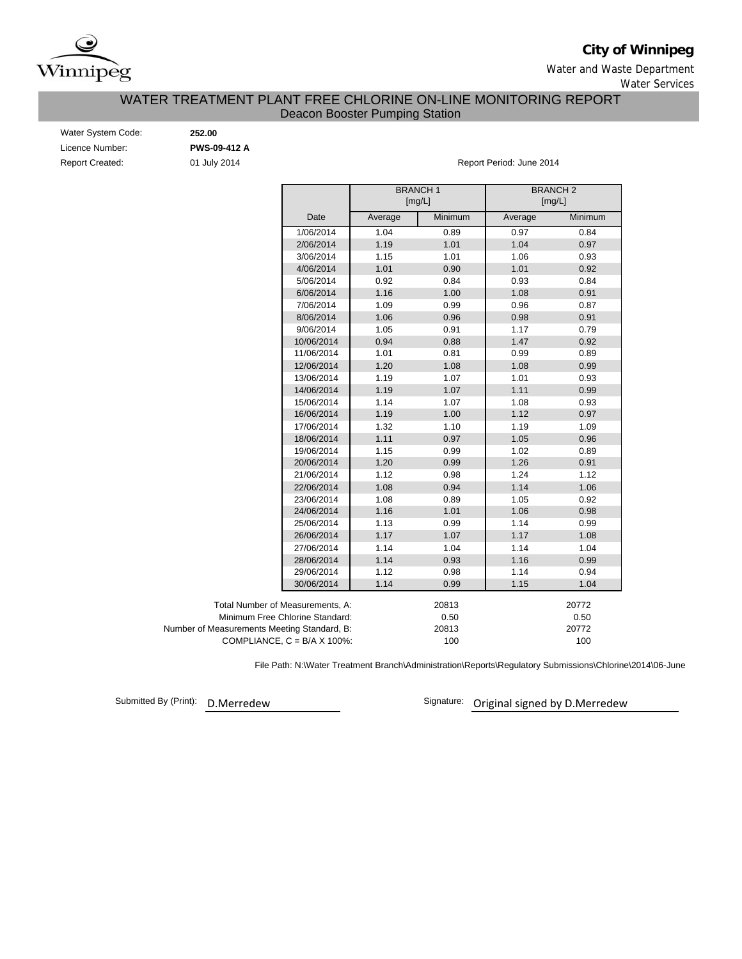

## **City of Winnipeg**

Water and Waste Department Water Services

## WATER TREATMENT PLANT FREE CHLORINE ON-LINE MONITORING REPORT Deacon Booster Pumping Station

| Water System Code:     |  |  |  |  |  |  |  |
|------------------------|--|--|--|--|--|--|--|
| Licence Number:        |  |  |  |  |  |  |  |
| <b>Report Created:</b> |  |  |  |  |  |  |  |

Water System Code: **252.00** Licence Number: **PWS-09-412 A**

01 July 2014 **Report Period: June 2014** 

|                                             |         | <b>BRANCH1</b><br>[mg/L] |         | <b>BRANCH2</b><br>[mg/L] |  |  |  |  |
|---------------------------------------------|---------|--------------------------|---------|--------------------------|--|--|--|--|
| Date                                        | Average | Minimum                  | Average | Minimum                  |  |  |  |  |
| 1/06/2014                                   | 1.04    | 0.89                     | 0.97    | 0.84                     |  |  |  |  |
| 2/06/2014                                   | 1.19    | 1.01                     | 1.04    | 0.97                     |  |  |  |  |
| 3/06/2014                                   | 1.15    | 1.01                     | 1.06    | 0.93                     |  |  |  |  |
| 4/06/2014                                   | 1.01    | 0.90                     | 1.01    | 0.92                     |  |  |  |  |
| 5/06/2014                                   | 0.92    | 0.84                     | 0.93    | 0.84                     |  |  |  |  |
| 6/06/2014                                   | 1.16    | 1.00                     | 1.08    | 0.91                     |  |  |  |  |
| 7/06/2014                                   | 1.09    | 0.99                     | 0.96    | 0.87                     |  |  |  |  |
| 8/06/2014                                   | 1.06    | 0.96                     | 0.98    | 0.91                     |  |  |  |  |
| 9/06/2014                                   | 1.05    | 0.91                     | 1.17    | 0.79                     |  |  |  |  |
| 10/06/2014                                  | 0.94    | 0.88                     | 1.47    | 0.92                     |  |  |  |  |
| 11/06/2014                                  | 1.01    | 0.81                     | 0.99    | 0.89                     |  |  |  |  |
| 12/06/2014                                  | 1.20    | 1.08                     | 1.08    | 0.99                     |  |  |  |  |
| 13/06/2014                                  | 1.19    | 1.07                     | 1.01    | 0.93                     |  |  |  |  |
| 14/06/2014                                  | 1.19    | 1.07                     | 1.11    | 0.99                     |  |  |  |  |
| 15/06/2014                                  | 1.14    | 1.07                     | 1.08    | 0.93                     |  |  |  |  |
| 16/06/2014                                  | 1.19    | 1.00                     | 1.12    | 0.97                     |  |  |  |  |
| 17/06/2014                                  | 1.32    | 1.10                     | 1.19    | 1.09                     |  |  |  |  |
| 18/06/2014                                  | 1.11    | 0.97                     | 1.05    | 0.96                     |  |  |  |  |
| 19/06/2014                                  | 1.15    | 0.99                     | 1.02    | 0.89                     |  |  |  |  |
| 20/06/2014                                  | 1.20    | 0.99                     | 1.26    | 0.91                     |  |  |  |  |
| 21/06/2014                                  | 1.12    | 0.98                     | 1.24    | 1.12                     |  |  |  |  |
| 22/06/2014                                  | 1.08    | 0.94                     | 1.14    | 1.06                     |  |  |  |  |
| 23/06/2014                                  | 1.08    | 0.89                     | 1.05    | 0.92                     |  |  |  |  |
| 24/06/2014                                  | 1.16    | 1.01                     | 1.06    | 0.98                     |  |  |  |  |
| 25/06/2014                                  | 1.13    | 0.99                     | 1.14    | 0.99                     |  |  |  |  |
| 26/06/2014                                  | 1.17    | 1.07                     | 1.17    | 1.08                     |  |  |  |  |
| 27/06/2014                                  | 1.14    | 1.04                     | 1.14    | 1.04                     |  |  |  |  |
| 28/06/2014                                  | 1.14    | 0.93                     | 1.16    | 0.99                     |  |  |  |  |
| 29/06/2014                                  | 1.12    | 0.98                     | 1.14    | 0.94                     |  |  |  |  |
| 30/06/2014                                  | 1.14    | 0.99                     | 1.15    | 1.04                     |  |  |  |  |
| Total Number of Measurements, A:            |         | 20813                    |         | 20772                    |  |  |  |  |
| Minimum Free Chlorine Standard:             |         | 0.50                     |         | 0.50                     |  |  |  |  |
| Number of Measurements Meeting Standard, B: |         | 20813                    | 20772   |                          |  |  |  |  |
| COMPLIANCE, $C = B/A \times 100\%$ :        |         | 100                      |         | 100                      |  |  |  |  |

File Path: N:\Water Treatment Branch\Administration\Reports\Regulatory Submissions\Chlorine\2014\06-June

Submitted By (Print):

D.Merredew **Calcular Signature**: Original signed by D.Merredew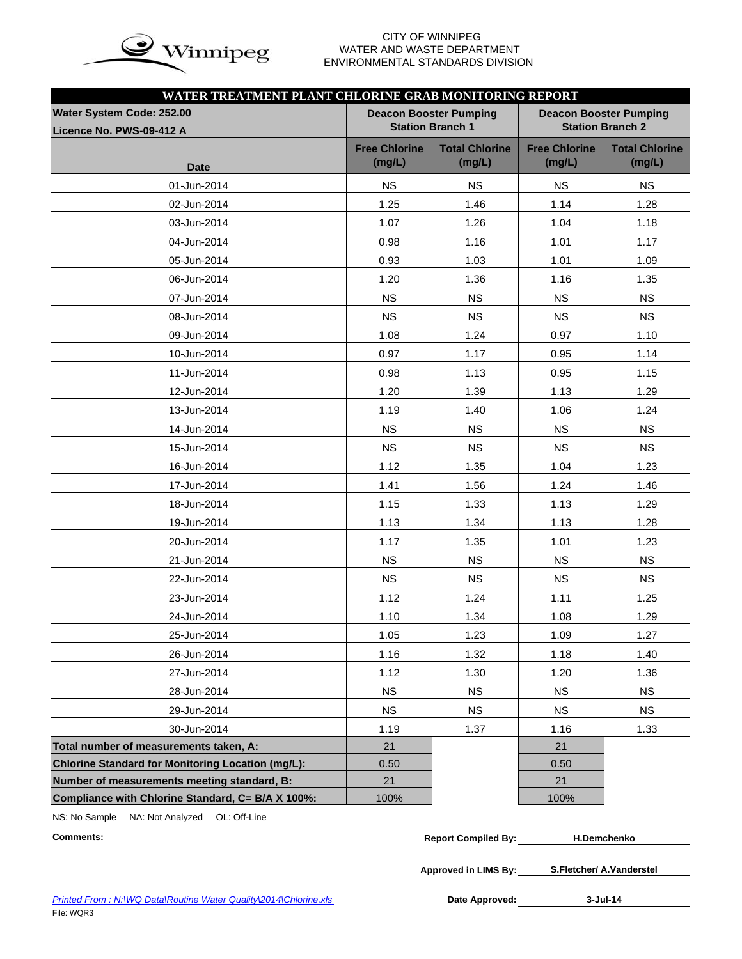

## WATER AND WASTE DEPARTMENT ENVIRONMENTAL STANDARDS DIVISION

| WATER TREATMENT PLANT CHLORINE GRAB MONITORING REPORT |                                |                                 |                                                          |                                 |  |  |  |  |  |
|-------------------------------------------------------|--------------------------------|---------------------------------|----------------------------------------------------------|---------------------------------|--|--|--|--|--|
| Water System Code: 252.00                             |                                | <b>Deacon Booster Pumping</b>   | <b>Deacon Booster Pumping</b><br><b>Station Branch 2</b> |                                 |  |  |  |  |  |
| Licence No. PWS-09-412 A                              |                                | <b>Station Branch 1</b>         |                                                          |                                 |  |  |  |  |  |
|                                                       | <b>Free Chlorine</b><br>(mg/L) | <b>Total Chlorine</b><br>(mg/L) | <b>Free Chlorine</b><br>(mg/L)                           | <b>Total Chlorine</b><br>(mg/L) |  |  |  |  |  |
| <b>Date</b>                                           |                                |                                 |                                                          |                                 |  |  |  |  |  |
| 01-Jun-2014                                           | <b>NS</b>                      | <b>NS</b>                       | <b>NS</b>                                                | <b>NS</b>                       |  |  |  |  |  |
| 02-Jun-2014                                           | 1.25                           | 1.46                            | 1.14                                                     | 1.28                            |  |  |  |  |  |
| 03-Jun-2014                                           | 1.07                           | 1.26                            | 1.04                                                     | 1.18                            |  |  |  |  |  |
| 04-Jun-2014                                           | 0.98                           | 1.16                            | 1.01                                                     | 1.17                            |  |  |  |  |  |
| 05-Jun-2014                                           | 0.93                           | 1.03                            | 1.01                                                     | 1.09                            |  |  |  |  |  |
| 06-Jun-2014                                           | 1.20                           | 1.36                            | 1.16                                                     | 1.35                            |  |  |  |  |  |
| 07-Jun-2014                                           | <b>NS</b>                      | <b>NS</b>                       | <b>NS</b>                                                | <b>NS</b>                       |  |  |  |  |  |
| 08-Jun-2014                                           | <b>NS</b>                      | <b>NS</b>                       | <b>NS</b>                                                | <b>NS</b>                       |  |  |  |  |  |
| 09-Jun-2014                                           | 1.08                           | 1.24                            | 0.97                                                     | 1.10                            |  |  |  |  |  |
| 10-Jun-2014                                           | 0.97                           | 1.17                            | 0.95                                                     | 1.14                            |  |  |  |  |  |
| 11-Jun-2014                                           | 0.98                           | 1.13                            | 0.95                                                     | 1.15                            |  |  |  |  |  |
| 12-Jun-2014                                           | 1.20                           | 1.39                            | 1.13                                                     | 1.29                            |  |  |  |  |  |
| 13-Jun-2014                                           | 1.19                           | 1.40                            | 1.06                                                     | 1.24                            |  |  |  |  |  |
| 14-Jun-2014                                           | <b>NS</b>                      | <b>NS</b>                       | <b>NS</b>                                                | <b>NS</b>                       |  |  |  |  |  |
| 15-Jun-2014                                           | <b>NS</b>                      | <b>NS</b>                       | <b>NS</b>                                                | <b>NS</b>                       |  |  |  |  |  |
| 16-Jun-2014                                           | 1.12                           | 1.35                            | 1.04                                                     | 1.23                            |  |  |  |  |  |
| 17-Jun-2014                                           | 1.41                           | 1.56                            | 1.24                                                     | 1.46                            |  |  |  |  |  |
| 18-Jun-2014                                           | 1.15                           | 1.33                            | 1.13                                                     | 1.29                            |  |  |  |  |  |
| 19-Jun-2014                                           | 1.13                           | 1.34                            | 1.13                                                     | 1.28                            |  |  |  |  |  |
| 20-Jun-2014                                           | 1.17                           | 1.35                            | 1.01                                                     | 1.23                            |  |  |  |  |  |
| 21-Jun-2014                                           | <b>NS</b>                      | <b>NS</b>                       | <b>NS</b>                                                | <b>NS</b>                       |  |  |  |  |  |
| 22-Jun-2014                                           | <b>NS</b>                      | <b>NS</b>                       | <b>NS</b>                                                | <b>NS</b>                       |  |  |  |  |  |
| 23-Jun-2014                                           | 1.12                           | 1.24                            | 1.11                                                     | 1.25                            |  |  |  |  |  |
| 24-Jun-2014                                           | 1.10                           | 1.34                            | 1.08                                                     | 1.29                            |  |  |  |  |  |
| 25-Jun-2014                                           | 1.05                           | 1.23                            | 1.09                                                     | 1.27                            |  |  |  |  |  |
| 26-Jun-2014                                           | 1.16                           | 1.32                            | 1.18                                                     | 1.40                            |  |  |  |  |  |
| 27-Jun-2014                                           | 1.12                           | 1.30                            | 1.20                                                     | 1.36                            |  |  |  |  |  |
| 28-Jun-2014                                           | <b>NS</b>                      | <b>NS</b>                       | <b>NS</b>                                                | <b>NS</b>                       |  |  |  |  |  |
| 29-Jun-2014                                           | <b>NS</b>                      | <b>NS</b>                       | <b>NS</b>                                                | <b>NS</b>                       |  |  |  |  |  |
| 30-Jun-2014                                           | 1.19                           | 1.37                            | 1.16                                                     | 1.33                            |  |  |  |  |  |
| Total number of measurements taken, A:                | 21                             |                                 | 21                                                       |                                 |  |  |  |  |  |
| Chlorine Standard for Monitoring Location (mg/L):     | 0.50                           |                                 | 0.50                                                     |                                 |  |  |  |  |  |
| Number of measurements meeting standard, B:           | 21                             |                                 | 21                                                       |                                 |  |  |  |  |  |
| Compliance with Chlorine Standard, C= B/A X 100%:     | 100%                           |                                 | 100%                                                     |                                 |  |  |  |  |  |

NS: No Sample NA: Not Analyzed OL: Off-Line

| Comments: | <b>Report Compiled By:</b> | <b>H.Demchenko</b> |
|-----------|----------------------------|--------------------|
|           |                            |                    |

**Approved in LIMS By: S.Fletcher/ A.Vanderstel**

Date Approved: 3-Jul-14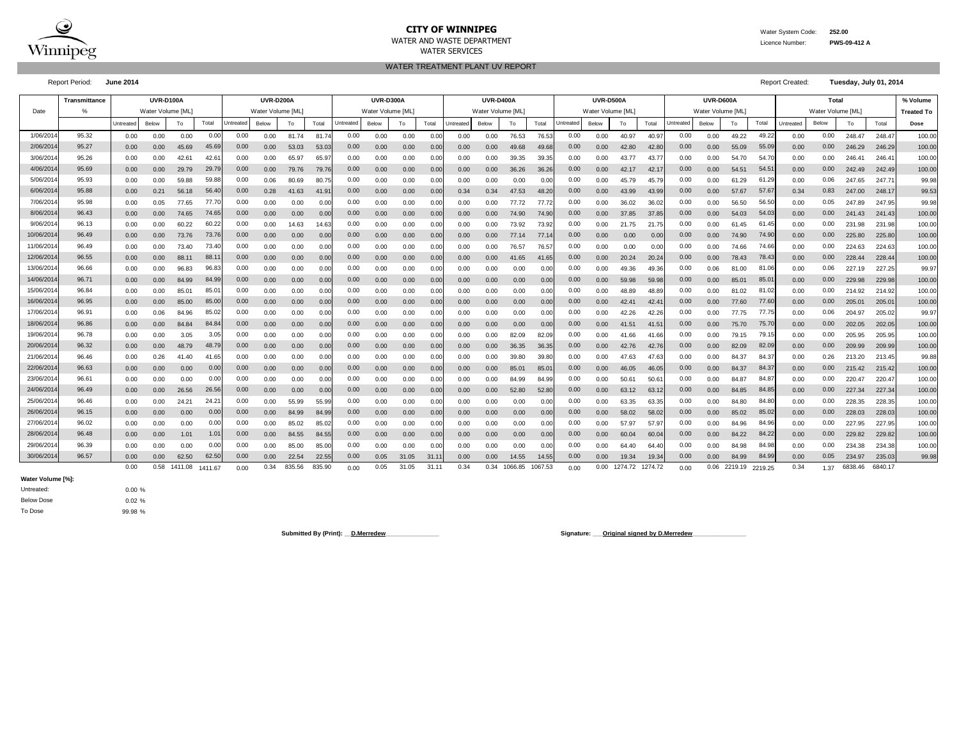

#### **CITY OF WINNIPEG** Water System Code: 252.00 WATER AND WASTE DEPARTMENT Licence Number: **PWS-09-412 A** WATER SERVICES

WATER TREATMENT PLANT UV REPORT

Report Period: **June 2014** Report Created: **Tuesday, July 01, 2014**

|            | <b>Transmittance</b> |           | <b>UVR-D100A</b>  |                | <b>UVR-D200A</b> |           |                  |        |        | <b>UVR-D300A</b><br><b>UVR-D400A</b> |                   |       |       |           |                   |         |         | <b>UVR-D500A</b> |                   |                |                   |           | UVR-D600A        |             |         |           | Total             |         |         | % Volume          |
|------------|----------------------|-----------|-------------------|----------------|------------------|-----------|------------------|--------|--------|--------------------------------------|-------------------|-------|-------|-----------|-------------------|---------|---------|------------------|-------------------|----------------|-------------------|-----------|------------------|-------------|---------|-----------|-------------------|---------|---------|-------------------|
| Date       | $\%$                 |           | Water Volume [ML] |                |                  |           | Water Volume IML |        |        |                                      | Water Volume [ML] |       |       |           | Water Volume [ML] |         |         |                  | Water Volume [ML] |                |                   |           | Water Volume IML |             |         |           | Water Volume [ML] |         |         | <b>Treated To</b> |
|            |                      | Untreated | Below             | To             | Total            | Untreated | Below            | To     | Total  | <b>Jntreated</b>                     | Below             | To    | Total | Untreated | Below             | To      | Total   | Jntreate         | Below             | To             | Total             | Untreated | Below            | To          | Total   | Untreated | Below             | To      | Total   | Dose              |
| 1/06/2014  | 95.32                | 0.00      | 0.00              | 0.00           | 0.00             | 0.00      | 0.00             | 81.74  | 81.7   | 0.00                                 | 0.00              | 0.00  | 0.0   | 0.00      | 0.00              | 76.53   | 76.5    | 0.00             | 0.00              | 40.97          | 40.9              | 0.00      | 0.00             | 49.22       | 49.2    | 0.00      | 0.00              | 248.47  | 248.4   | 100.00            |
| 2/06/2014  | 95.27                | 0.00      | 0.00              | 45.69          | 45.69            | 0.00      | 0.00             | 53.03  | 53.03  | 0.00                                 | 0.00              | 0.00  | 0.00  | 0.00      | 0.00              | 49.68   | 49.68   | 0.00             | 0.00              | 42.80          | 42.8              | 0.00      | 0.00             | 55.09       | 55.09   | 0.00      | 0.00              | 246.29  | 246.29  | 100.00            |
| 3/06/2014  | 95.26                | 0.00      | 0.00              | 42.6           | 42.6             | 0.00      | 0.00             | 65.97  | 65.9   | 0.00                                 | 0.00              | 0.00  | 0.0   | 0.00      | 0.00              | 39.35   | 39.3    | 0.00             | 0.00              | 43.77          | 43.7              | 0.00      | 0.00             | 54.70       | 54.7    | 0.00      | 0.00              | 246.41  | 246.4   | 100.00            |
| 4/06/2014  | 95.69                | 0.00      | 0.00              | 29.79          | 29.79            | 0.00      | 0.00             | 79.76  | 79.76  | 0.00                                 | 0.00              | 0.00  | 0.0   | 0.00      | 0.00              | 36.26   | 36.20   | 0.00             | 0.00              | 42.17          | 42.1              | 0.00      | 0.00             | 54.51       | 54.5    | 0.00      | 0.00              | 242.49  | 242.49  | 100.00            |
| 5/06/2014  | 95.93                | 0.00      | 0.00              | 59.88          | 59.88            | 0.00      | 0.06             | 80.69  | 80.7   | 0.00                                 | 0.00              | 0.00  | 0.0   | 0.00      | 0.00              | 0.00    | 0.00    | 0.00             | 0.00              | 45.            | 45.7              | 0.00      | 0.00             | 61.29       | 61.2    | 0.00      | 0.06              | 247.65  | 247.7   | 99.98             |
| 6/06/201   | 95.88                | 0.00      | 0.21              | 56.18          | 56.40            | 0.00      | 0.28             | 41.63  | 41.9   | 0.00                                 | 0.00              | 0.00  | 0.0   | 0.34      | 0.34              | 47.53   | 48.2    | 0.00             | 0.00              | 43.99          | 43.9              | 0.00      | 0.00             | 57.67       | 57.6    | 0.34      | 0.83              | 247.00  | 248.1   | 99.53             |
| 7/06/2014  | 95.98                | 0.00      | 0.05              | 77.65          | 77.70            | 0.00      | 0.00             | 0.00   | 0.00   | 0.00                                 | 0.00              | 0.00  | 0.0   | 0.00      | 0.00              | 77.72   | 77.72   | 0.00             | 0.00              | 36.02          | 36.0              | 0.00      | 0.00             | 56.50       | 56.5    | 0.00      | 0.05              | 247.89  | 247.95  | 99.98             |
| 8/06/2014  | 96.43                | 0.00      | 0.00              | 74.65          | 74.65            | 0.00      | 0.00             | 0.00   | 0.00   | 0.00                                 | 0.00              | 0.00  | 0.00  | 0.00      | 0.00              | 74.90   | 74.90   | 0.00             | 0.00              | 37.85          | 37.8              | 0.00      | 0.00             | 54.03       | 54.03   | 0.00      | 0.00              | 241.43  | 241.43  | 100.00            |
| 9/06/2014  | 96.13                | 0.00      | 0.00              | 60.22          | 60.22            | 0.00      | 0.00             | 14.63  | 14.63  | 0.00                                 | 0.00              | 0.00  | 0.00  | 0.00      | 0.00              | 73.92   | 73.9    | 0.00             | 0.00              | 21<br>.75      | 21.75             | 0.00      | 0.00             | 61<br>.45   | 61.45   | 0.00      | 0.00              | 231.98  | 231.98  | 100.00            |
| 10/06/201  | 96.49                | 0.00      | 0.00              | 73.76          | 73.76            | 0.00      | 0.00             | 0.00   | 0.00   | 0.00                                 | 0.00              | 0.00  | 0.0   | 0.00      | 0.00              | 77.14   | 77.1    | 0.00             | 0.00              | 0.00           | 0.00              | 0.00      | 0.00             | 74.90       | 74.90   | 0.00      | 0.00              | 225.80  | 225.80  | 100.00            |
| 11/06/2014 | 96.49                | 0.00      | 0.00              | 73.40          | 73.40            | 0.00      | 0.00             | 0.00   | 0.00   | 0.00                                 | 0.00              | 0.00  | 0.0   | 0.00      | 0.00              | 76.57   | 76.5    | 0.00             | 0.00              | 0.00           | 0.00              | 0.00      | 0.00             | 74.66       | 74.66   | 0.00      | 0.00              | 224.63  | 224.63  | 100.00            |
| 12/06/201  | 96.55                | 0.00      | 0.00              | 88.1'          | 88.1             | 0.00      | 0.00             | 0.00   | 0.00   | 0.00                                 | 0.00              | 0.00  | 0.0   | 0.00      | 0.00              | 41.65   | 41.6    | 0.00             | 0.00              | 20.24          | 20.2              | 0.00      | 0.00             | 78.43       | 78.4    | 0.00      | 0.00              | 228.44  | 228.4   | 100.00            |
| 13/06/201  | 96.66                | 0.00      | 0.00              | 96.83          | 96.8             | 0.00      | 0.00             | 0.00   | 0.00   | 0.00                                 | 0.00              | 0.00  | 0.0   | 0.00      | 0.00              | 0.00    | 0.00    | 0.00             | 0.00              | 49.36          | 49.3              | 0.00      | 0.06             | 81.00       | 81.0    | 0.00      | 0.06              | 227.19  | 227.25  | 99.97             |
| 14/06/2014 | 96.71                | 0.00      | 0.00              | 84.99          | 84.99            | 0.00      | 0.00             | 0.00   | 0.00   | 0.00                                 | 0.00              | 0.00  | 0.0   | 0.00      | 0.00              | 0.00    | 0.00    | 0.00             | 0.00              | 59.98          | 59.9              | 0.00      | 0.00             | 85.01       | 85.0    | 0.00      | 0.00              | 229.98  | 229.98  | 100.00            |
| 15/06/2014 | 96.84                | 0.00      | 0.00              | $85.0^{\circ}$ | 85.0'            | 0.00      | 0.00             | 0.00   | 0.00   | 0.00                                 | 0.00              | 0.00  | 0.00  | 0.00      | 0.00              | 0.00    | 0.00    | 0.00             | 0.00              | 48.89          | 48.8              | 0.00      | 0.00             | 81<br>02. ا | 81.02   | 0.00      | 0.00              | 214.92  | 214.92  | 100.00            |
| 16/06/2014 | 96.95                | 0.00      | 0.00              | 85.00          | 85.00            | 0.00      | 0.00             | 0.00   | 0.00   | 0.00                                 | 0.00              | 0.00  | 0.0   | 0.00      | 0.00              | 0.00    | 0.00    | 0.00             | 0.00              | $42.4^{\circ}$ | 42.4              | 0.00      | 0.00             | 77.60       | 77.60   | 0.00      | 0.00              | 205.01  | 205.0   | 100.00            |
| 17/06/2014 | 96.91                | 0.00      | 0.06              | 84.96          | 85.02            | 0.00      | 0.00             | 0.00   | 0.00   | 0.00                                 | 0.00              | 0.00  | 0.0   | 0.00      | 0.00              | 0.00    | 0.00    | 0.00             | 0.00              | 42.26          | 42.2              | 0.00      | 0.00             | 77.75       | 77.7    | 0.00      | 0.06              | 204.97  | 205.02  | 99.97             |
| 18/06/2014 | 96.86                | 0.00      | 0.00              | 84.84          | 84.84            | 0.00      | 0.00             | 0.00   | 0.00   | 0.00                                 | 0.00              | 0.00  | 0.0   | 0.00      | 0.00              | 0.00    | 0.00    | 0.00             | 0.00              | 41.51          | 41.5              | 0.00      | 0.00             | 75.70       | 75.7    | 0.00      | 0.00              | 202.05  | 202.0   | 100.00            |
| 19/06/201  | 96.78                | 0.00      | 0.00              | 3.05           | 3.05             | 0.00      | 0.00             | 0.00   | 0.0(   | 0.00                                 | 0.00              | 0.00  | 0.0   | 0.00      | 0.00              | 82.09   | 82.0    | 0.00             | 0.00              | 41.66          | 41.6              | 0.00      | 0.00             | 79.15       | 79.1    | 0.00      | 0.00              | 205.95  | 205.95  | 100.00            |
| 20/06/201  | 96.32                | 0.00      | 0.00              | 48.79          | 48.79            | 0.00      | 0.00             | 0.00   | 0.00   | 0.00                                 | 0.00              | 0.00  | 0.0   | 0.00      | 0.00              | 36.35   | 36.3    | 0.00             | 0.00              | 42.76          | 42.7              | 0.00      | 0.00             | 82.09       | 82.0    | 0.00      | 0.00              | 209.99  | 209.9   | 100.00            |
| 21/06/2014 | 96.46                | 0.00      | 0.26              | 41.40          | 41.65            | 0.00      | 0.00             | 0.00   | 0.00   | 0.00                                 | 0.00              | 0.00  | 0.0   | 0.00      | 0.00              | 39.80   | 39.8    | 0.00             | 0.00              | 47.63          | 47.6              | 0.00      | 0.00             | 84.37       | 84.3    | 0.00      | 0.26              | 213.20  | 213.45  | 99.88             |
| 22/06/2014 | 96.63                | 0.00      | 0.00              | 0.00           | 0.00             | 0.00      | 0.00             | 0.00   | 0.00   | 0.00                                 | 0.00              | 0.00  | 0.00  | 0.00      | 0.00              | 85.01   | 85.0    | 0.00             | 0.00              | 46.05          | 46.05             | 0.00      | 0.00             | 84.37       | 84.37   | 0.00      | 0.00              | 215.42  | 215.42  | 100.00            |
| 23/06/2014 | 96.61                | 0.00      | 0.00              | 0.00           | 0.00             | 0.00      | 0.00             | 0.00   | 0.00   | 0.00                                 | 0.00              | 0.00  | 0.00  | 0.00      | 0.00              | 84.99   | 84.9    | 0.00             | 0.00              | $50.6^{\circ}$ | 50.6              | 0.00      | 0.00             | 84.87       | 84.8    | 0.00      | 0.00              | 220.47  | 220.47  | 100.00            |
| 24/06/2014 | 96.49                | 0.00      | 0.00              | 26.56          | 26.56            | 0.00      | 0.00             | 0.00   | 0.00   | 0.00                                 | 0.00              | 0.00  | 0.0   | 0.00      | 0.00              | 52.80   | 52.80   | 0.00             | 0.00              | 63.12          | 63.1              | 0.00      | 0.00             | 84.85       | 84.8    | 0.00      | 0.00              | 227.34  | 227.34  | 100.00            |
| 25/06/2014 | 96.46                | 0.00      | 0.00              | 24.21          | 24.2             | 0.00      | 0.00             | 55.99  | 55.99  | 0.00                                 | 0.00              | 0.00  | 0.0   | 0.00      | 0.00              | 0.00    | 0.00    | 0.00             | 0.00              | 63.35          | 63.3              | 0.00      | 0.00             | 84.80       | 84.80   | 0.00      | 0.00              | 228.35  | 228.35  | 100.00            |
| 26/06/2014 | 96.15                | 0.00      | 0.00              | 0.00           | 0.00             | 0.00      | 0.00             | 84.99  | 84.99  | 0.00                                 | 0.00              | 0.00  | 0.0   | 0.00      | 0.00              | 0.00    | 0.00    | 0.00             | 0.00              | 58.02          | 58.0              | 0.00      | 0.00             | 85.02       | 85.0    | 0.00      | 0.00              | 228.03  | 228.03  | 100.00            |
| 27/06/2014 | 96.02                | 0.00      | 0.00              | 0.00           | 0.0              | 0.00      | 0.00             | 85.02  | 85.02  | 0.00                                 | 0.00              | 0.00  | 0.0   | 0.00      | 0.00              | 0.00    | 0.00    | 0.00             | 0.00              | 57.97          | 57.9              | 0.00      | 0.00             | 84.96       | 84.9    | 0.00      | 0.00              | 227.95  | 227.95  | 100.00            |
| 28/06/2014 | 96.48                | 0.00      | 0.00              | 1.01           | $1.0^{\circ}$    | 0.00      | 0.00             | 84.55  | 84.55  | 0.00                                 | 0.00              | 0.00  | 0.0   | 0.00      | 0.00              | 0.00    | 0.00    | 0.00             | 0.00              | 60.04          | 60.0              | 0.00      | 0.00             | 84.22       | 84.2    | 0.00      | 0.00              | 229.82  | 229.82  | 100.00            |
| 29/06/2014 | 96.39                | 0.00      | 0.00              | 0.00           | 0.00             | 0.00      | 0.00             | 85.00  | 85.00  | 0.00                                 | 0.00              | 0.00  | 0.0   | 0.00      | 0.00              | 0.00    | 0.00    | 0.00             | 0.00              | 64.40          | 64.4              | 0.00      | 0.00             | 84.98       | 84.98   | 0.00      | 0.00              | 234.38  | 234.38  | 100.00            |
| 30/06/2014 | 96.57                | 0.00      | 0.00              | 62.50          | 62.50            | 0.00      | 0.00             | 22.54  | 22.55  | 0.00                                 | 0.05              | 31.05 | 31.1  | 0.00      | 0.00              | 14.55   | 14.55   | 0.00             | 0.00              | 19.34          | 19.3 <sub>1</sub> | 0.00      | 0.00             | 84.99       | 84.9    | 0.00      | 0.05              | 234.97  | 235.03  | 99.98             |
|            |                      | 0.00      | 0.58              | 1411.08        | 1411 67          | 0.00      | 0.34             | 835.56 | 835.90 | 0.00                                 | 0.05              | 31.05 | 31.11 | 0.34      | 0.34              | 1066.85 | 1067.53 | 0.00             | 0.00              | 1274.72        | 1274.72           | 0.00      | 0.06             | 2219.19     | 2219.25 | 0.34      | 1.37              | 6838.46 | 6840.17 |                   |

**Water Volume [%]:**

Below Dose Untreated:

0.00 % 0.02 % 99.98 %

To Dose

Submitted By (Print): <u>D.Merredew</u> **Communication Communication** Signature: *\_\_\_*Original signed by D.Merredew